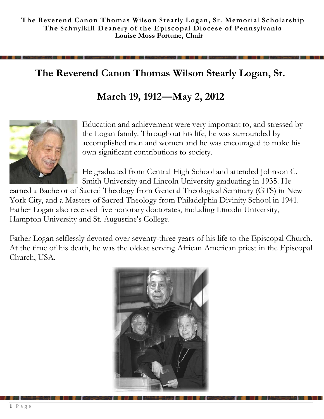# **The Reverend Canon Thomas Wilson Stearly Logan, Sr.**

# **March 19, 1912—May 2, 2012**



Education and achievement were very important to, and stressed by the Logan family. Throughout his life, he was surrounded by accomplished men and women and he was encouraged to make his own significant contributions to society.

He graduated from Central High School and attended Johnson C. Smith University and Lincoln University graduating in 1935. He

earned a Bachelor of Sacred Theology from General Theological Seminary (GTS) in New York City, and a Masters of Sacred Theology from Philadelphia Divinity School in 1941. Father Logan also received five honorary doctorates, including Lincoln University, Hampton University and St. Augustine's College.

Father Logan selflessly devoted over seventy-three years of his life to the Episcopal Church. At the time of his death, he was the oldest serving African American priest in the Episcopal Church, USA.

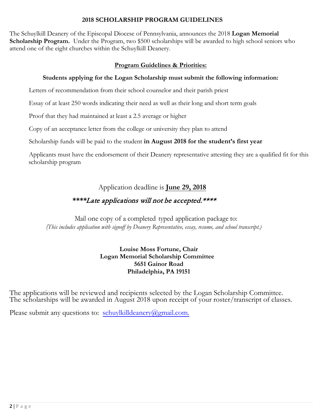#### **2018 SCHOLARSHIP PROGRAM GUIDELINES**

The Schuylkill Deanery of the Episcopal Diocese of Pennsylvania, announces the 2018 **Logan Memorial Scholarship Program.** Under the Program, two \$500 scholarships will be awarded to high school seniors who attend one of the eight churches within the Schuylkill Deanery.

### **Program Guidelines & Priorities:**

#### **Students applying for the Logan Scholarship must submit the following information:**

Letters of recommendation from their school counselor and their parish priest

Essay of at least 250 words indicating their need as well as their long and short term goals

Proof that they had maintained at least a 2.5 average or higher

Copy of an acceptance letter from the college or university they plan to attend

Scholarship funds will be paid to the student **in August 2018 for the student's first year**

Applicants must have the endorsement of their Deanery representative attesting they are a qualified fit for this scholarship program

# Application deadline is **June 29, 2018**

# **\*\*\*\***Late applications will not be accepted.\*\*\*\*

 Mail one copy of a completed typed application package to: *(This includes application with signoff by Deanery Representative, essay, resume, and school transcript.)*

#### **Louise Moss Fortune, Chair Logan Memorial Scholarship Committee 5651 Gainor Road Philadelphia, PA 19151**

The applications will be reviewed and recipients selected by the Logan Scholarship Committee. The scholarships will be awarded in August 2018 upon receipt of your roster/transcript of classes.

Please submit any questions to: [schuylkilldeanery@gmail.com.](mailto:schuylkilldeanery@gmail.com.)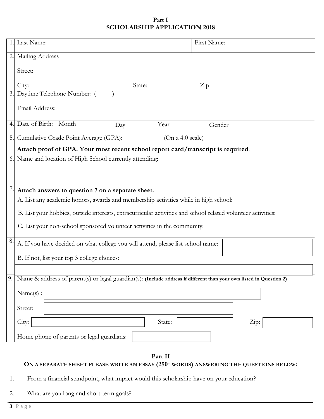#### **Part I SCHOLARSHIP APPLICATION 2018**

| 1. | Last Name:                                                                                                          | First Name: |
|----|---------------------------------------------------------------------------------------------------------------------|-------------|
| 2. | Mailing Address                                                                                                     |             |
|    | Street:                                                                                                             |             |
|    | City:<br>State:                                                                                                     | Zip:        |
| 3. | Daytime Telephone Number: (                                                                                         |             |
|    | Email Address:                                                                                                      |             |
| 4. | Date of Birth: Month<br>Year<br>Day                                                                                 | Gender:     |
| 5. | Cumulative Grade Point Average (GPA):<br>(On a 4.0 scale)                                                           |             |
|    | Attach proof of GPA. Your most recent school report card/transcript is required.                                    |             |
|    | 6. Name and location of High School currently attending:                                                            |             |
|    | Attach answers to question 7 on a separate sheet.                                                                   |             |
|    | A. List any academic honors, awards and membership activities while in high school:                                 |             |
|    | B. List your hobbies, outside interests, extracurricular activities and school related volunteer activities:        |             |
|    | C. List your non-school sponsored volunteer activities in the community:                                            |             |
| 8. | A. If you have decided on what college you will attend, please list school name:                                    |             |
|    | B. If not, list your top 3 college choices:                                                                         |             |
|    |                                                                                                                     |             |
| 9  | Name & address of parent(s) or legal guardian(s): (Include address if different than your own listed in Question 2) |             |
|    | Name(s):                                                                                                            |             |
|    | Street:                                                                                                             |             |
|    | City:<br>State:                                                                                                     | Zip:        |
|    | Home phone of parents or legal guardians:                                                                           |             |

**Part II**

## **ON A SEPARATE SHEET PLEASE WRITE AN ESSAY (250+ WORDS) ANSWERING THE QUESTIONS BELOW:**

- 1. From a financial standpoint, what impact would this scholarship have on your education?
- 2. What are you long and short-term goals?